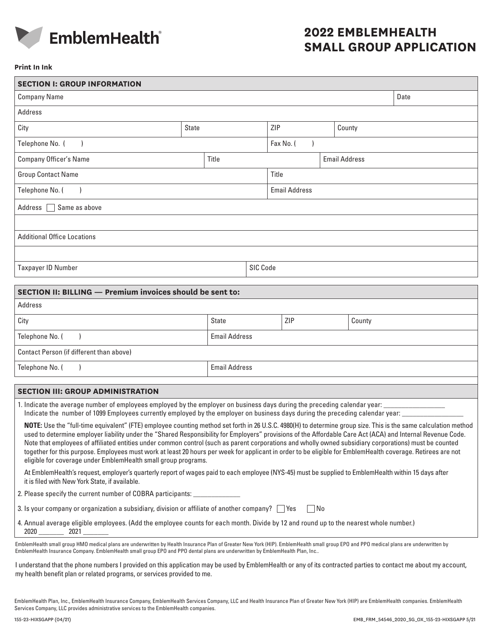

# **2022 EMBLEMHEALTH SMALL GROUP APPLICATION**

## **Print In Ink**

| <b>SECTION I: GROUP INFORMATION</b>                                                                                                                                                                                                                                                                                                                                                                                                                                                                                                                                                                                                                                                                                       |       |                      |          |                      |  |        |      |  |
|---------------------------------------------------------------------------------------------------------------------------------------------------------------------------------------------------------------------------------------------------------------------------------------------------------------------------------------------------------------------------------------------------------------------------------------------------------------------------------------------------------------------------------------------------------------------------------------------------------------------------------------------------------------------------------------------------------------------------|-------|----------------------|----------|----------------------|--|--------|------|--|
| <b>Company Name</b>                                                                                                                                                                                                                                                                                                                                                                                                                                                                                                                                                                                                                                                                                                       |       |                      |          |                      |  |        | Date |  |
| <b>Address</b>                                                                                                                                                                                                                                                                                                                                                                                                                                                                                                                                                                                                                                                                                                            |       |                      |          |                      |  |        |      |  |
| City                                                                                                                                                                                                                                                                                                                                                                                                                                                                                                                                                                                                                                                                                                                      | State |                      |          | ZIP                  |  | County |      |  |
| Telephone No. (                                                                                                                                                                                                                                                                                                                                                                                                                                                                                                                                                                                                                                                                                                           |       |                      |          | Fax No. (            |  |        |      |  |
| <b>Company Officer's Name</b>                                                                                                                                                                                                                                                                                                                                                                                                                                                                                                                                                                                                                                                                                             |       | Title                |          | <b>Email Address</b> |  |        |      |  |
| <b>Group Contact Name</b>                                                                                                                                                                                                                                                                                                                                                                                                                                                                                                                                                                                                                                                                                                 |       |                      | Title    |                      |  |        |      |  |
| Telephone No. (                                                                                                                                                                                                                                                                                                                                                                                                                                                                                                                                                                                                                                                                                                           |       |                      |          | <b>Email Address</b> |  |        |      |  |
| Address<br>Same as above                                                                                                                                                                                                                                                                                                                                                                                                                                                                                                                                                                                                                                                                                                  |       |                      |          |                      |  |        |      |  |
|                                                                                                                                                                                                                                                                                                                                                                                                                                                                                                                                                                                                                                                                                                                           |       |                      |          |                      |  |        |      |  |
| <b>Additional Office Locations</b>                                                                                                                                                                                                                                                                                                                                                                                                                                                                                                                                                                                                                                                                                        |       |                      |          |                      |  |        |      |  |
|                                                                                                                                                                                                                                                                                                                                                                                                                                                                                                                                                                                                                                                                                                                           |       |                      |          |                      |  |        |      |  |
| <b>Taxpayer ID Number</b>                                                                                                                                                                                                                                                                                                                                                                                                                                                                                                                                                                                                                                                                                                 |       |                      | SIC Code |                      |  |        |      |  |
|                                                                                                                                                                                                                                                                                                                                                                                                                                                                                                                                                                                                                                                                                                                           |       |                      |          |                      |  |        |      |  |
| SECTION II: BILLING - Premium invoices should be sent to:                                                                                                                                                                                                                                                                                                                                                                                                                                                                                                                                                                                                                                                                 |       |                      |          |                      |  |        |      |  |
| <b>Address</b>                                                                                                                                                                                                                                                                                                                                                                                                                                                                                                                                                                                                                                                                                                            |       |                      |          |                      |  |        |      |  |
| City                                                                                                                                                                                                                                                                                                                                                                                                                                                                                                                                                                                                                                                                                                                      |       | <b>State</b>         |          | ZIP                  |  | County |      |  |
| $\lambda$<br>Telephone No. (<br><b>Email Address</b>                                                                                                                                                                                                                                                                                                                                                                                                                                                                                                                                                                                                                                                                      |       |                      |          |                      |  |        |      |  |
| Contact Person (if different than above)                                                                                                                                                                                                                                                                                                                                                                                                                                                                                                                                                                                                                                                                                  |       |                      |          |                      |  |        |      |  |
| Telephone No. (                                                                                                                                                                                                                                                                                                                                                                                                                                                                                                                                                                                                                                                                                                           |       | <b>Email Address</b> |          |                      |  |        |      |  |
| <b>SECTION III: GROUP ADMINISTRATION</b>                                                                                                                                                                                                                                                                                                                                                                                                                                                                                                                                                                                                                                                                                  |       |                      |          |                      |  |        |      |  |
| 1. Indicate the average number of employees employed by the employer on business days during the preceding calendar year:                                                                                                                                                                                                                                                                                                                                                                                                                                                                                                                                                                                                 |       |                      |          |                      |  |        |      |  |
| Indicate the number of 1099 Employees currently employed by the employer on business days during the preceding calendar year:                                                                                                                                                                                                                                                                                                                                                                                                                                                                                                                                                                                             |       |                      |          |                      |  |        |      |  |
| NOTE: Use the "full-time equivalent" (FTE) employee counting method set forth in 26 U.S.C. 4980(H) to determine group size. This is the same calculation method<br>used to determine employer liability under the "Shared Responsibility for Employers" provisions of the Affordable Care Act (ACA) and Internal Revenue Code.<br>Note that employees of affiliated entities under common control (such as parent corporations and wholly owned subsidiary corporations) must be counted<br>together for this purpose. Employees must work at least 20 hours per week for applicant in order to be eligible for EmblemHealth coverage. Retirees are not<br>eligible for coverage under EmblemHealth small group programs. |       |                      |          |                      |  |        |      |  |
| At EmblemHealth's request, employer's quarterly report of wages paid to each employee (NYS-45) must be supplied to EmblemHealth within 15 days after<br>it is filed with New York State, if available.                                                                                                                                                                                                                                                                                                                                                                                                                                                                                                                    |       |                      |          |                      |  |        |      |  |
| 2. Please specify the current number of COBRA participants: ___                                                                                                                                                                                                                                                                                                                                                                                                                                                                                                                                                                                                                                                           |       |                      |          |                      |  |        |      |  |
| 3. Is your company or organization a subsidiary, division or affiliate of another company? $\Box$ Yes<br>l No                                                                                                                                                                                                                                                                                                                                                                                                                                                                                                                                                                                                             |       |                      |          |                      |  |        |      |  |
| 4. Annual average eligible employees. (Add the employee counts for each month. Divide by 12 and round up to the nearest whole number.)<br>2021<br>2020                                                                                                                                                                                                                                                                                                                                                                                                                                                                                                                                                                    |       |                      |          |                      |  |        |      |  |
| EmblemHealth small group HMO medical plans are underwritten by Health Insurance Plan of Greater New York (HIP). EmblemHealth small group EPO and PPO medical plans are underwritten by<br>EmblemHealth Insurance Company. EmblemHealth small group EPO and PPO dental plans are underwritten by EmblemHealth Plan, Inc                                                                                                                                                                                                                                                                                                                                                                                                    |       |                      |          |                      |  |        |      |  |
| I understand that the phone numbers I provided on this application may be used by EmblemHealth or any of its contracted parties to contact me about my account,                                                                                                                                                                                                                                                                                                                                                                                                                                                                                                                                                           |       |                      |          |                      |  |        |      |  |

EmblemHealth Plan, Inc., EmblemHealth Insurance Company, EmblemHealth Services Company, LLC and Health Insurance Plan of Greater New York (HIP) are EmblemHealth companies. EmblemHealth Services Company, LLC provides administrative services to the EmblemHealth companies.

my health benefit plan or related programs, or services provided to me.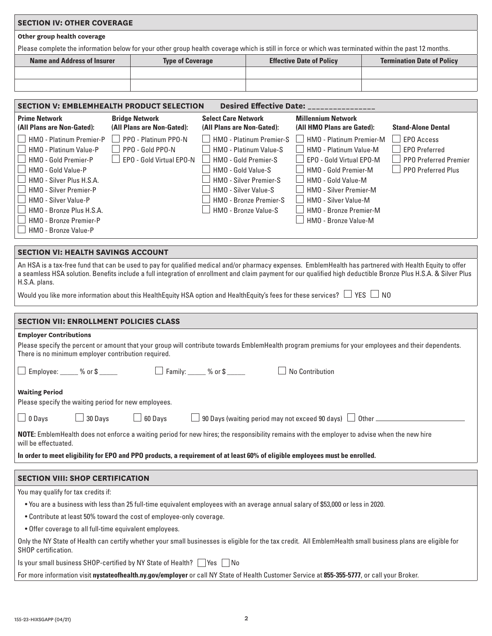| <b>SECTION IV: OTHER COVERAGE</b>                                                       |                            |                                                                                                                                                       |                                 |                                   |  |  |  |
|-----------------------------------------------------------------------------------------|----------------------------|-------------------------------------------------------------------------------------------------------------------------------------------------------|---------------------------------|-----------------------------------|--|--|--|
| Other group health coverage                                                             |                            |                                                                                                                                                       |                                 |                                   |  |  |  |
|                                                                                         |                            | Please complete the information below for your other group health coverage which is still in force or which was terminated within the past 12 months. |                                 |                                   |  |  |  |
| <b>Name and Address of Insurer</b>                                                      | <b>Type of Coverage</b>    |                                                                                                                                                       | <b>Effective Date of Policy</b> | <b>Termination Date of Policy</b> |  |  |  |
|                                                                                         |                            |                                                                                                                                                       |                                 |                                   |  |  |  |
|                                                                                         |                            |                                                                                                                                                       |                                 |                                   |  |  |  |
|                                                                                         |                            |                                                                                                                                                       |                                 |                                   |  |  |  |
| Desired Effective Date: ___________<br><b>SECTION V: EMBLEMHEALTH PRODUCT SELECTION</b> |                            |                                                                                                                                                       |                                 |                                   |  |  |  |
| <b>Prime Network</b>                                                                    | <b>Bridge Network</b>      | <b>Select Care Network</b>                                                                                                                            | <b>Millennium Network</b>       |                                   |  |  |  |
| (All Plans are Non-Gated):                                                              | (All Plans are Non-Gated): | (All Plans are Non-Gated):                                                                                                                            | (All HMO Plans are Gated):      | <b>Stand-Alone Dental</b>         |  |  |  |
| HMO - Platinum Premier-P                                                                | PPO - Platinum PPO-N       | HMO - Platinum Premier-S                                                                                                                              | HMO - Platinum Premier-M        | <b>EPO</b> Access                 |  |  |  |

 $\Box$  HMO - Platinum Value-P  $\Box$  PPO - Gold PPO-N  $\Box$  HMO - Platinum Value-S  $\Box$  HMO - Platinum Value-M  $\Box$  EPO Preferred

 $\Box$  HMO - Gold Premier-P  $\Box$  EPO - Gold Virtual EPO-N  $\Box$  HMO - Gold Premier-S  $\Box$  EPO - Gold Virtual EPO-M  $\Box$  PPO Preferred Premier  $\Box$  HMO - Gold Value-P  $\Box$  HMO - Gold Value-S  $\Box$  HMO - Gold Premier-M  $\Box$  PPO Preferred Plus

| SECTION VI: HEALIH SAVINGS ACCOUNT                                                                                                                                                                                                                                                                                          |
|-----------------------------------------------------------------------------------------------------------------------------------------------------------------------------------------------------------------------------------------------------------------------------------------------------------------------------|
| An HSA is a tax-free fund that can be used to pay for qualified medical and/or pharmacy expenses. EmblemHealth has partnered with Health Equity to offer<br>a seamless HSA solution. Benefits include a full integration of enrollment and claim payment for our qualified high deductible Bronze Plus H.S.A. & Silver Plus |
| H.S.A. plans.                                                                                                                                                                                                                                                                                                               |
|                                                                                                                                                                                                                                                                                                                             |

|  | Would you like more information about this HealthEquity HSA option and HealthEquity's fees for these services? $\Box$ YES $\Box$ NO |  |  |  |  |  |  |  |  |
|--|-------------------------------------------------------------------------------------------------------------------------------------|--|--|--|--|--|--|--|--|
|--|-------------------------------------------------------------------------------------------------------------------------------------|--|--|--|--|--|--|--|--|

 $\Box$  HMO - Silver Plus H.S.A.  $\Box$  HMO - Silver Premier-S  $\Box$  HMO - Gold Value-M HMO - Silver Premier-P HMO - Silver Value-S HMO - Silver Premier-M HMO - Silver Value-P HMO - Bronze Premier-S HMO - Silver Value-M HMO - Bronze Plus H.S.A. HMO - Bronze Value-S HMO - Bronze Premier-M HMO - Bronze Premier-P **HMO - Bronze Value-M** 

| <b>SECTION VII: ENROLLMENT POLICIES CLASS</b>                                                                                                                                                              |  |  |  |  |  |  |  |  |
|------------------------------------------------------------------------------------------------------------------------------------------------------------------------------------------------------------|--|--|--|--|--|--|--|--|
| <b>Employer Contributions</b>                                                                                                                                                                              |  |  |  |  |  |  |  |  |
| Please specify the percent or amount that your group will contribute towards EmblemHealth program premiums for your employees and their dependents.<br>There is no minimum employer contribution required. |  |  |  |  |  |  |  |  |
| Family: _____ % or \$ _____<br>No Contribution<br>Employee: _____ % or \$ _____                                                                                                                            |  |  |  |  |  |  |  |  |
| <b>Waiting Period</b>                                                                                                                                                                                      |  |  |  |  |  |  |  |  |
| Please specify the waiting period for new employees.                                                                                                                                                       |  |  |  |  |  |  |  |  |
| $\Box$ 90 Days (waiting period may not exceed 90 days) $\Box$ Other $\Box$<br>$\Box$ 30 Days<br>$\Box$ 0 Days<br>$\Box$ 60 Days                                                                            |  |  |  |  |  |  |  |  |
| NOTE: EmblemHealth does not enforce a waiting period for new hires; the responsibility remains with the employer to advise when the new hire<br>will be effectuated.                                       |  |  |  |  |  |  |  |  |
| In order to meet eligibility for EPO and PPO products, a requirement of at least 60% of eligible employees must be enrolled.                                                                               |  |  |  |  |  |  |  |  |
| <b>SECTION VIII: SHOP CERTIFICATION</b>                                                                                                                                                                    |  |  |  |  |  |  |  |  |
| You may qualify for tax credits if:                                                                                                                                                                        |  |  |  |  |  |  |  |  |
| . You are a business with less than 25 full-time equivalent employees with an average annual salary of \$53,000 or less in 2020.                                                                           |  |  |  |  |  |  |  |  |
| • Contribute at least 50% toward the cost of employee-only coverage.                                                                                                                                       |  |  |  |  |  |  |  |  |
| . Offer coverage to all full-time equivalent employees.                                                                                                                                                    |  |  |  |  |  |  |  |  |
| Only the NY State of Health can certify whether your small businesses is eligible for the tax credit. All EmblemHealth small business plans are eligible for<br>SHOP certification.                        |  |  |  |  |  |  |  |  |
| Is your small business SHOP-certified by NY State of Health? $\Box$ Yes $\Box$ No                                                                                                                          |  |  |  |  |  |  |  |  |
| For more information visit nystateofhealth.ny.gov/employer or call NY State of Health Customer Service at 855-355-5777, or call your Broker.                                                               |  |  |  |  |  |  |  |  |

155-23-HIXSGAPP (04/21)

HMO - Bronze Value-P

 $\mathbf{I}$ 

**SECTION VIEWS AND SAVING ACCOUNT**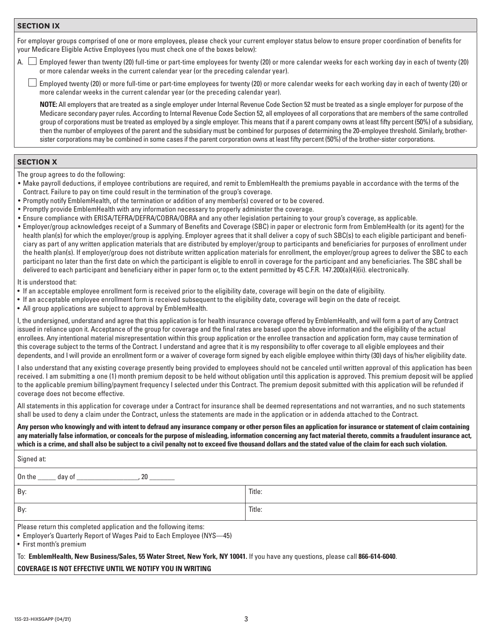#### **SECTION IX**

For employer groups comprised of one or more employees, please check your current employer status below to ensure proper coordination of benefits for your Medicare Eligible Active Employees (you must check one of the boxes below):

A.  $\Box$  Employed fewer than twenty (20) full-time or part-time employees for twenty (20) or more calendar weeks for each working day in each of twenty (20) or more calendar weeks in the current calendar year (or the preceding calendar year).

 $\perp$  Employed twenty (20) or more full-time or part-time employees for twenty (20) or more calendar weeks for each working day in each of twenty (20) or more calendar weeks in the current calendar year (or the preceding calendar year).

**NOTE:** All employers that are treated as a single employer under Internal Revenue Code Section 52 must be treated as a single employer for purpose of the Medicare secondary payer rules. According to Internal Revenue Code Section 52, all employees of all corporations that are members of the same controlled group of corporations must be treated as employed by a single employer. This means that if a parent company owns at least fifty percent (50%) of a subsidiary, then the number of employees of the parent and the subsidiary must be combined for purposes of determining the 20-employee threshold. Similarly, brothersister corporations may be combined in some cases if the parent corporation owns at least fifty percent (50%) of the brother-sister corporations.

### **SECTION X**

The group agrees to do the following:

- Make payroll deductions, if employee contributions are required, and remit to EmblemHealth the premiums payable in accordance with the terms of the Contract. Failure to pay on time could result in the termination of the group's coverage.
- Promptly notify EmblemHealth, of the termination or addition of any member(s) covered or to be covered.
- Promptly provide EmblemHealth with any information necessary to properly administer the coverage.
- Ensure compliance with ERISA/TEFRA/DEFRA/COBRA/OBRA and any other legislation pertaining to your group's coverage, as applicable.
- Employer/group acknowledges receipt of a Summary of Benefits and Coverage (SBC) in paper or electronic form from EmblemHealth (or its agent) for the health plan(s) for which the employer/group is applying. Employer agrees that it shall deliver a copy of such SBC(s) to each eligible participant and beneficiary as part of any written application materials that are distributed by employer/group to participants and beneficiaries for purposes of enrollment under the health plan(s). If employer/group does not distribute written application materials for enrollment, the employer/group agrees to deliver the SBC to each participant no later than the first date on which the participant is eligible to enroll in coverage for the participant and any beneficiaries. The SBC shall be delivered to each participant and beneficiary either in paper form or, to the extent permitted by 45 C.F.R. 147.200(a)(4)(ii). electronically.

#### It is understood that:

- If an acceptable employee enrollment form is received prior to the eligibility date, coverage will begin on the date of eligibility.
- If an acceptable employee enrollment form is received subsequent to the eligibility date, coverage will begin on the date of receipt.
- All group applications are subject to approval by EmblemHealth.

I, the undersigned, understand and agree that this application is for health insurance coverage offered by EmblemHealth, and will form a part of any Contract issued in reliance upon it. Acceptance of the group for coverage and the final rates are based upon the above information and the eligibility of the actual enrollees. Any intentional material misrepresentation within this group application or the enrollee transaction and application form, may cause termination of this coverage subject to the terms of the Contract. I understand and agree that it is my responsibility to offer coverage to all eligible employees and their dependents, and I will provide an enrollment form or a waiver of coverage form signed by each eligible employee within thirty (30) days of his/her eligibility date.

I also understand that any existing coverage presently being provided to employees should not be canceled until written approval of this application has been received. I am submitting a one (1) month premium deposit to be held without obligation until this application is approved. This premium deposit will be applied to the applicable premium billing/payment frequency I selected under this Contract. The premium deposit submitted with this application will be refunded if coverage does not become effective.

All statements in this application for coverage under a Contract for insurance shall be deemed representations and not warranties, and no such statements shall be used to deny a claim under the Contract, unless the statements are made in the application or in addenda attached to the Contract.

**Any person who knowingly and with intent to defraud any insurance company or other person files an application for insurance or statement of claim containing any materially false information, or conceals for the purpose of misleading, information concerning any fact material thereto, commits a fraudulent insurance act, which is a crime, and shall also be subject to a civil penalty not to exceed five thousand dollars and the stated value of the claim for each such violation.** 

| Signed at:                                                                                                                                                            |        |  |  |  |  |  |  |
|-----------------------------------------------------------------------------------------------------------------------------------------------------------------------|--------|--|--|--|--|--|--|
| On the $\rule{1em}{0.15mm}$ day of $\rule{1em}{0.15mm}$<br>20                                                                                                         |        |  |  |  |  |  |  |
| By:                                                                                                                                                                   | Title: |  |  |  |  |  |  |
| By:                                                                                                                                                                   | Title: |  |  |  |  |  |  |
| Please return this completed application and the following items:<br>• Employer's Quarterly Report of Wages Paid to Each Employee (NYS-45)<br>• First month's premium |        |  |  |  |  |  |  |
| To: EmblemHealth, New Business/Sales, 55 Water Street, New York, NY 10041. If you have any questions, please call 866-614-6040.                                       |        |  |  |  |  |  |  |
| COVERAGE IS NOT EFFECTIVE UNTIL WE NOTIFY YOU IN WRITING                                                                                                              |        |  |  |  |  |  |  |